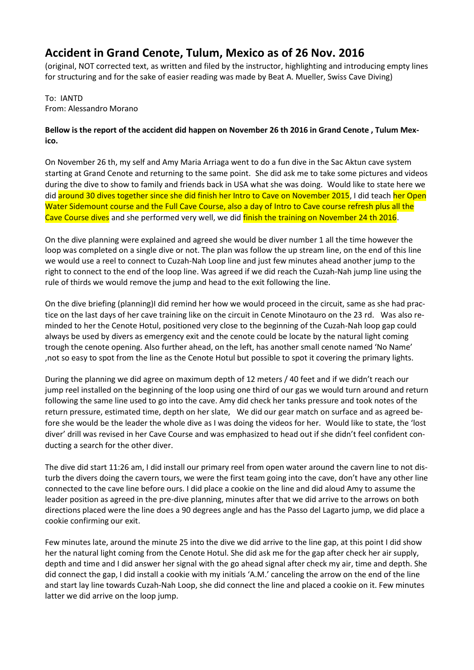## **Accident in Grand Cenote, Tulum, Mexico as of 26 Nov. 2016**

(original, NOT corrected text, as written and filed by the instructor, highlighting and introducing empty lines for structuring and for the sake of easier reading was made by Beat A. Mueller, Swiss Cave Diving)

To: IANTD From: Alessandro Morano

## **Bellow is the report of the accident did happen on November 26 th 2016 in Grand Cenote , Tulum Mexico.**

On November 26 th, my self and Amy Maria Arriaga went to do a fun dive in the Sac Aktun cave system starting at Grand Cenote and returning to the same point. She did ask me to take some pictures and videos during the dive to show to family and friends back in USA what she was doing. Would like to state here we did around 30 dives together since she did finish her Intro to Cave on November 2015, I did teach her Open Water Sidemount course and the Full Cave Course, also a day of Intro to Cave course refresh plus all the Cave Course dives and she performed very well, we did finish the training on November 24 th 2016.

On the dive planning were explained and agreed she would be diver number 1 all the time however the loop was completed on a single dive or not. The plan was follow the up stream line, on the end of this line we would use a reel to connect to Cuzah-Nah Loop line and just few minutes ahead another jump to the right to connect to the end of the loop line. Was agreed if we did reach the Cuzah-Nah jump line using the rule of thirds we would remove the jump and head to the exit following the line.

On the dive briefing (planning)I did remind her how we would proceed in the circuit, same as she had practice on the last days of her cave training like on the circuit in Cenote Minotauro on the 23 rd. Was also reminded to her the Cenote Hotul, positioned very close to the beginning of the Cuzah-Nah loop gap could always be used by divers as emergency exit and the cenote could be locate by the natural light coming trough the cenote opening. Also further ahead, on the left, has another small cenote named 'No Name' ,not so easy to spot from the line as the Cenote Hotul but possible to spot it covering the primary lights.

During the planning we did agree on maximum depth of 12 meters / 40 feet and if we didn't reach our jump reel installed on the beginning of the loop using one third of our gas we would turn around and return following the same line used to go into the cave. Amy did check her tanks pressure and took notes of the return pressure, estimated time, depth on her slate, We did our gear match on surface and as agreed before she would be the leader the whole dive as I was doing the videos for her. Would like to state, the 'lost diver' drill was revised in her Cave Course and was emphasized to head out if she didn't feel confident conducting a search for the other diver.

The dive did start 11:26 am, I did install our primary reel from open water around the cavern line to not disturb the divers doing the cavern tours, we were the first team going into the cave, don't have any other line connected to the cave line before ours. I did place a cookie on the line and did aloud Amy to assume the leader position as agreed in the pre-dive planning, minutes after that we did arrive to the arrows on both directions placed were the line does a 90 degrees angle and has the Passo del Lagarto jump, we did place a cookie confirming our exit.

Few minutes late, around the minute 25 into the dive we did arrive to the line gap, at this point I did show her the natural light coming from the Cenote Hotul. She did ask me for the gap after check her air supply, depth and time and I did answer her signal with the go ahead signal after check my air, time and depth. She did connect the gap, I did install a cookie with my initials 'A.M.' canceling the arrow on the end of the line and start lay line towards Cuzah-Nah Loop, she did connect the line and placed a cookie on it. Few minutes latter we did arrive on the loop jump.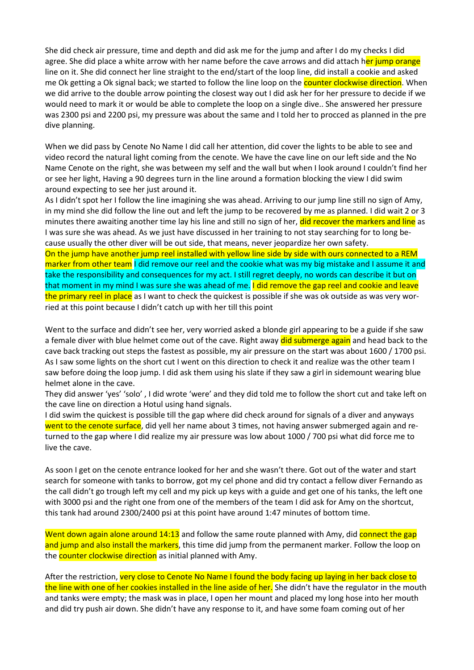She did check air pressure, time and depth and did ask me for the jump and after I do my checks I did agree. She did place a white arrow with her name before the cave arrows and did attach her jump orange line on it. She did connect her line straight to the end/start of the loop line, did install a cookie and asked me Ok getting a Ok signal back; we started to follow the line loop on the counter clockwise direction. When we did arrive to the double arrow pointing the closest way out I did ask her for her pressure to decide if we would need to mark it or would be able to complete the loop on a single dive.. She answered her pressure was 2300 psi and 2200 psi, my pressure was about the same and I told her to procced as planned in the pre dive planning.

When we did pass by Cenote No Name I did call her attention, did cover the lights to be able to see and video record the natural light coming from the cenote. We have the cave line on our left side and the No Name Cenote on the right, she was between my self and the wall but when I look around I couldn't find her or see her light, Having a 90 degrees turn in the line around a formation blocking the view I did swim around expecting to see her just around it.

As I didn't spot her I follow the line imagining she was ahead. Arriving to our jump line still no sign of Amy, in my mind she did follow the line out and left the jump to be recovered by me as planned. I did wait 2 or 3 minutes there awaiting another time lay his line and still no sign of her, did recover the markers and line as I was sure she was ahead. As we just have discussed in her training to not stay searching for to long because usually the other diver will be out side, that means, never jeopardize her own safety. On the jump have another jump reel installed with yellow line side by side with ours connected to a REM marker from other team I did remove our reel and the cookie what was my big mistake and I assume it and

take the responsibility and consequences for my act. I still regret deeply, no words can describe it but on that moment in my mind I was sure she was ahead of me. I did remove the gap reel and cookie and leave the primary reel in place as I want to check the quickest is possible if she was ok outside as was very worried at this point because I didn't catch up with her till this point

Went to the surface and didn't see her, very worried asked a blonde girl appearing to be a guide if she saw a female diver with blue helmet come out of the cave. Right away did submerge again and head back to the cave back tracking out steps the fastest as possible, my air pressure on the start was about 1600 / 1700 psi. As I saw some lights on the short cut I went on this direction to check it and realize was the other team I saw before doing the loop jump. I did ask them using his slate if they saw a girl in sidemount wearing blue helmet alone in the cave.

They did answer 'yes' 'solo' , I did wrote 'were' and they did told me to follow the short cut and take left on the cave line on direction a Hotul using hand signals.

I did swim the quickest is possible till the gap where did check around for signals of a diver and anyways went to the cenote surface, did yell her name about 3 times, not having answer submerged again and returned to the gap where I did realize my air pressure was low about 1000 / 700 psi what did force me to live the cave.

As soon I get on the cenote entrance looked for her and she wasn't there. Got out of the water and start search for someone with tanks to borrow, got my cel phone and did try contact a fellow diver Fernando as the call didn't go trough left my cell and my pick up keys with a guide and get one of his tanks, the left one with 3000 psi and the right one from one of the members of the team I did ask for Amy on the shortcut, this tank had around 2300/2400 psi at this point have around 1:47 minutes of bottom time.

Went down again alone around 14:13 and follow the same route planned with Amy, did connect the gap and jump and also install the markers, this time did jump from the permanent marker. Follow the loop on the **counter clockwise direction** as initial planned with Amy.

After the restriction, very close to Cenote No Name I found the body facing up laying in her back close to the line with one of her cookies installed in the line aside of her. She didn't have the regulator in the mouth and tanks were empty; the mask was in place, I open her mount and placed my long hose into her mouth and did try push air down. She didn't have any response to it, and have some foam coming out of her